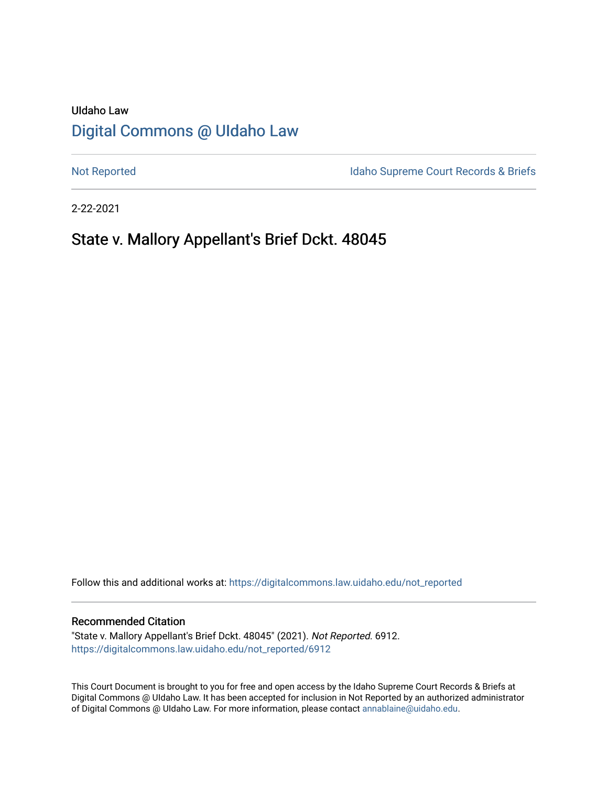# UIdaho Law [Digital Commons @ UIdaho Law](https://digitalcommons.law.uidaho.edu/)

[Not Reported](https://digitalcommons.law.uidaho.edu/not_reported) **Idaho Supreme Court Records & Briefs** 

2-22-2021

# State v. Mallory Appellant's Brief Dckt. 48045

Follow this and additional works at: [https://digitalcommons.law.uidaho.edu/not\\_reported](https://digitalcommons.law.uidaho.edu/not_reported?utm_source=digitalcommons.law.uidaho.edu%2Fnot_reported%2F6912&utm_medium=PDF&utm_campaign=PDFCoverPages) 

#### Recommended Citation

"State v. Mallory Appellant's Brief Dckt. 48045" (2021). Not Reported. 6912. [https://digitalcommons.law.uidaho.edu/not\\_reported/6912](https://digitalcommons.law.uidaho.edu/not_reported/6912?utm_source=digitalcommons.law.uidaho.edu%2Fnot_reported%2F6912&utm_medium=PDF&utm_campaign=PDFCoverPages)

This Court Document is brought to you for free and open access by the Idaho Supreme Court Records & Briefs at Digital Commons @ UIdaho Law. It has been accepted for inclusion in Not Reported by an authorized administrator of Digital Commons @ UIdaho Law. For more information, please contact [annablaine@uidaho.edu](mailto:annablaine@uidaho.edu).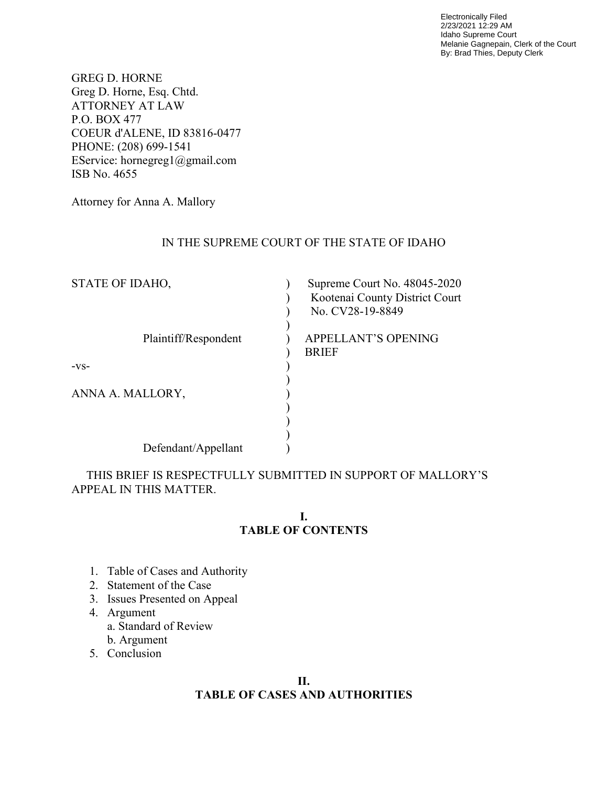Electronically Filed 2/23/2021 12:29 AM Idaho Supreme Court Melanie Gagnepain, Clerk of the Court By: Brad Thies, Deputy Clerk

GREG D. HORNE Greg D. Horne, Esq. Chtd. ATTORNEY AT LAW P.O. BOX 477 COEUR d'ALENE, ID 83816-0477 PHONE: (208) 699-1541 EService: hornegreg1@gmail.com ISB No. 4655

Attorney for Anna A. Mallory

## IN THE SUPREME COURT OF THE STATE OF IDAHO

| STATE OF IDAHO,      | Supreme Court No. 48045-2020<br>Kootenai County District Court<br>No. CV28-19-8849 |
|----------------------|------------------------------------------------------------------------------------|
| Plaintiff/Respondent | <b>APPELLANT'S OPENING</b><br><b>BRIEF</b>                                         |
| $-VS-$               |                                                                                    |
|                      |                                                                                    |
| ANNA A. MALLORY,     |                                                                                    |
|                      |                                                                                    |
|                      |                                                                                    |
| Defendant/Appellant  |                                                                                    |

 THIS BRIEF IS RESPECTFULLY SUBMITTED IN SUPPORT OF MALLORY'S APPEAL IN THIS MATTER.

## **I. TABLE OF CONTENTS**

- 1. Table of Cases and Authority
- 2. Statement of the Case
- 3. Issues Presented on Appeal
- 4. Argument
	- a. Standard of Review
	- b. Argument
- 5. Conclusion

## **II. TABLE OF CASES AND AUTHORITIES**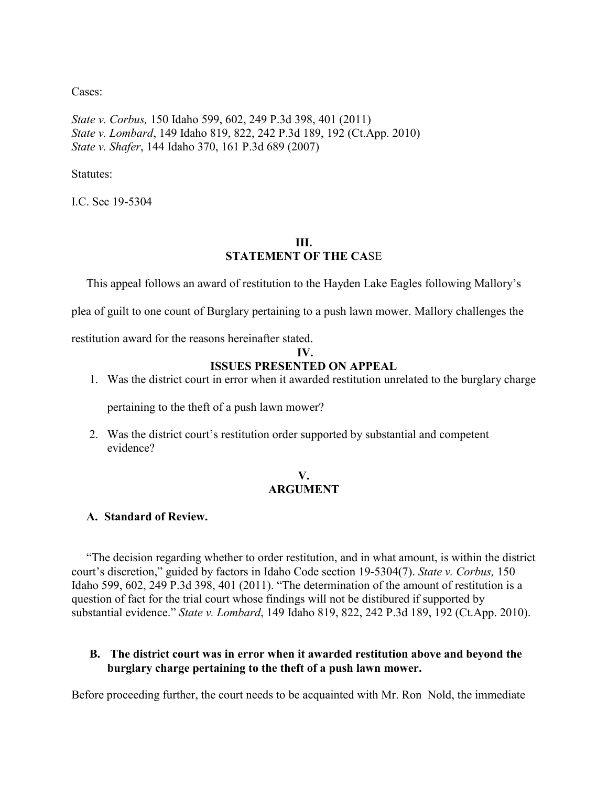Cases:

*State v. Corbus,* 150 Idaho 599, 602, 249 P.3d 398, 401 (2011) *State v. Lombard*, 149 Idaho 819, 822, 242 P.3d 189, 192 (Ct.App. 2010) *State v. Shafer*, 144 Idaho 370, 161 P.3d 689 (2007)

Statutes:

I.C. Sec 19-5304

# **III. STATEMENT OF THE CA**SE

This appeal follows an award of restitution to the Hayden Lake Eagles following Mallory's

plea of guilt to one count of Burglary pertaining to a push lawn mower. Mallory challenges the

restitution award for the reasons hereinafter stated.

#### **IV.**

## **ISSUES PRESENTED ON APPEAL**

1. Was the district court in error when it awarded restitution unrelated to the burglary charge

pertaining to the theft of a push lawn mower?

2. Was the district court's restitution order supported by substantial and competent evidence?

## **V. ARGUMENT**

#### **A. Standard of Review.**

 "The decision regarding whether to order restitution, and in what amount, is within the district court's discretion," guided by factors in Idaho Code section 19-5304(7). *State v. Corbus,* 150 Idaho 599, 602, 249 P.3d 398, 401 (2011). "The determination of the amount of restitution is a question of fact for the trial court whose findings will not be distibured if supported by substantial evidence." *State v. Lombard*, 149 Idaho 819, 822, 242 P.3d 189, 192 (Ct.App. 2010).

## **B. The district court was in error when it awarded restitution above and beyond the burglary charge pertaining to the theft of a push lawn mower.**

Before proceeding further, the court needs to be acquainted with Mr. Ron Nold, the immediate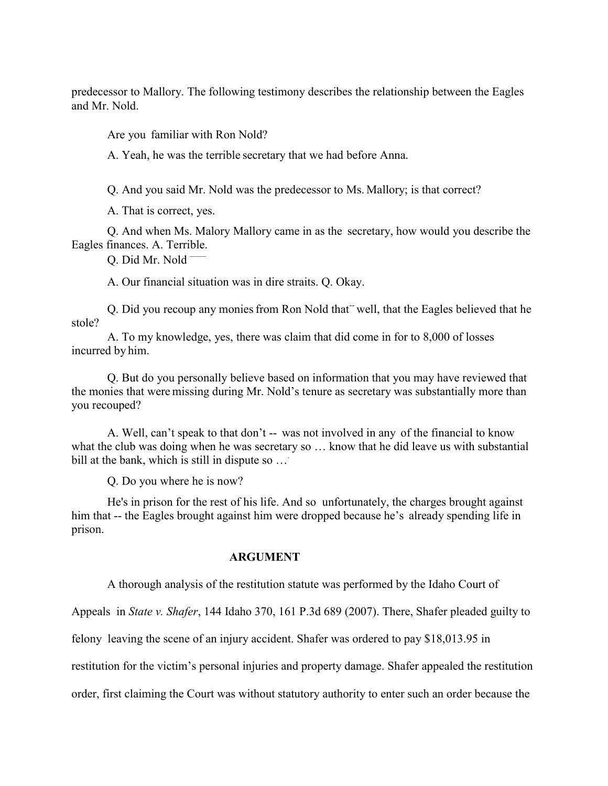predecessor to Mallory. The following testimony describes the relationship between the Eagles and Mr. Nold.

Are you familiar with Ron Nold?

A. Yeah, he was the terrible secretary that we had before Anna.

Q. And you said Mr. Nold was the predecessor to Ms. Mallory; is that correct?

A. That is correct, yes.

Q. And when Ms. Malory Mallory came in as the secretary, how would you describe the Eagles finances. A. Terrible.

Q. Did Mr. Nold -

A. Our financial situation was in dire straits. Q. Okay.

Q. Did you recoup any monies from Ron Nold that<sup>-</sup> well, that the Eagles believed that he stole?

A. To my knowledge, yes, there was claim that did come in for to 8,000 of losses incurred by him.

Q. But do you personally believe based on information that you may have reviewed that the monies that were missing during Mr. Nold's tenure as secretary was substantially more than you recouped?

A. Well, can't speak to that don't -- was not involved in any of the financial to know what the club was doing when he was secretary so ... know that he did leave us with substantial bill at the bank, which is still in dispute so  $\ldots$ 

Q. Do you where he is now?

He's in prison for the rest of his life. And so unfortunately, the charges brought against him that -- the Eagles brought against him were dropped because he's already spending life in prison.

#### **ARGUMENT**

A thorough analysis of the restitution statute was performed by the Idaho Court of

Appeals in *State v. Shafer*, 144 Idaho 370, 161 P.3d 689 (2007). There, Shafer pleaded guilty to

felony leaving the scene of an injury accident. Shafer was ordered to pay \$18,013.95 in

restitution for the victim's personal injuries and property damage. Shafer appealed the restitution

order, first claiming the Court was without statutory authority to enter such an order because the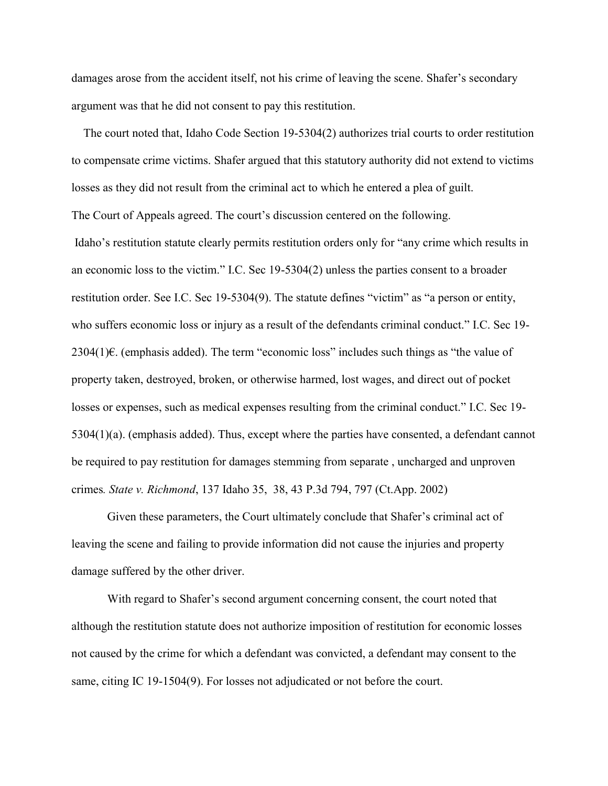damages arose from the accident itself, not his crime of leaving the scene. Shafer's secondary argument was that he did not consent to pay this restitution.

 The court noted that, Idaho Code Section 19-5304(2) authorizes trial courts to order restitution to compensate crime victims. Shafer argued that this statutory authority did not extend to victims losses as they did not result from the criminal act to which he entered a plea of guilt. The Court of Appeals agreed. The court's discussion centered on the following. Idaho's restitution statute clearly permits restitution orders only for "any crime which results in an economic loss to the victim." I.C. Sec 19-5304(2) unless the parties consent to a broader restitution order. See I.C. Sec 19-5304(9). The statute defines "victim" as "a person or entity, who suffers economic loss or injury as a result of the defendants criminal conduct." I.C. Sec 19- 2304(1)€. (emphasis added). The term "economic loss" includes such things as "the value of property taken, destroyed, broken, or otherwise harmed, lost wages, and direct out of pocket losses or expenses, such as medical expenses resulting from the criminal conduct." I.C. Sec 19- 5304(1)(a). (emphasis added). Thus, except where the parties have consented, a defendant cannot be required to pay restitution for damages stemming from separate , uncharged and unproven crimes*. State v. Richmond*, 137 Idaho 35, 38, 43 P.3d 794, 797 (Ct.App. 2002)

Given these parameters, the Court ultimately conclude that Shafer's criminal act of leaving the scene and failing to provide information did not cause the injuries and property damage suffered by the other driver.

With regard to Shafer's second argument concerning consent, the court noted that although the restitution statute does not authorize imposition of restitution for economic losses not caused by the crime for which a defendant was convicted, a defendant may consent to the same, citing IC 19-1504(9). For losses not adjudicated or not before the court.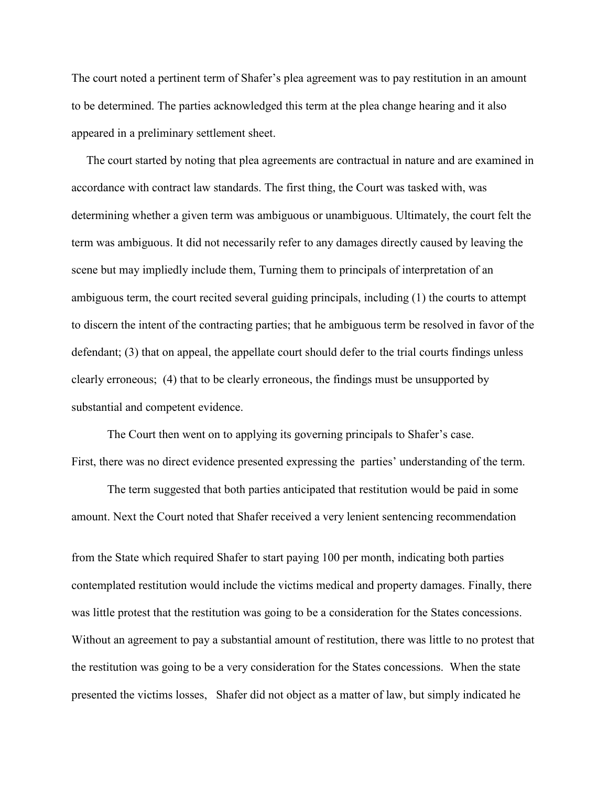The court noted a pertinent term of Shafer's plea agreement was to pay restitution in an amount to be determined. The parties acknowledged this term at the plea change hearing and it also appeared in a preliminary settlement sheet.

 The court started by noting that plea agreements are contractual in nature and are examined in accordance with contract law standards. The first thing, the Court was tasked with, was determining whether a given term was ambiguous or unambiguous. Ultimately, the court felt the term was ambiguous. It did not necessarily refer to any damages directly caused by leaving the scene but may impliedly include them, Turning them to principals of interpretation of an ambiguous term, the court recited several guiding principals, including (1) the courts to attempt to discern the intent of the contracting parties; that he ambiguous term be resolved in favor of the defendant; (3) that on appeal, the appellate court should defer to the trial courts findings unless clearly erroneous; (4) that to be clearly erroneous, the findings must be unsupported by substantial and competent evidence.

The Court then went on to applying its governing principals to Shafer's case. First, there was no direct evidence presented expressing the parties' understanding of the term.

The term suggested that both parties anticipated that restitution would be paid in some amount. Next the Court noted that Shafer received a very lenient sentencing recommendation

from the State which required Shafer to start paying 100 per month, indicating both parties contemplated restitution would include the victims medical and property damages. Finally, there was little protest that the restitution was going to be a consideration for the States concessions. Without an agreement to pay a substantial amount of restitution, there was little to no protest that the restitution was going to be a very consideration for the States concessions. When the state presented the victims losses, Shafer did not object as a matter of law, but simply indicated he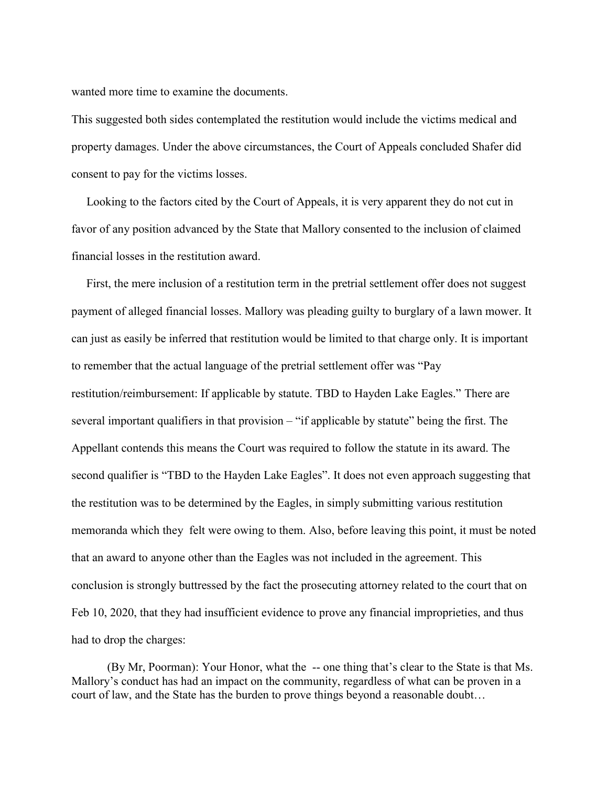wanted more time to examine the documents.

This suggested both sides contemplated the restitution would include the victims medical and property damages. Under the above circumstances, the Court of Appeals concluded Shafer did consent to pay for the victims losses.

 Looking to the factors cited by the Court of Appeals, it is very apparent they do not cut in favor of any position advanced by the State that Mallory consented to the inclusion of claimed financial losses in the restitution award.

 First, the mere inclusion of a restitution term in the pretrial settlement offer does not suggest payment of alleged financial losses. Mallory was pleading guilty to burglary of a lawn mower. It can just as easily be inferred that restitution would be limited to that charge only. It is important to remember that the actual language of the pretrial settlement offer was "Pay restitution/reimbursement: If applicable by statute. TBD to Hayden Lake Eagles." There are several important qualifiers in that provision – "if applicable by statute" being the first. The Appellant contends this means the Court was required to follow the statute in its award. The second qualifier is "TBD to the Hayden Lake Eagles". It does not even approach suggesting that the restitution was to be determined by the Eagles, in simply submitting various restitution memoranda which they felt were owing to them. Also, before leaving this point, it must be noted that an award to anyone other than the Eagles was not included in the agreement. This conclusion is strongly buttressed by the fact the prosecuting attorney related to the court that on Feb 10, 2020, that they had insufficient evidence to prove any financial improprieties, and thus had to drop the charges:

(By Mr, Poorman): Your Honor, what the -- one thing that's clear to the State is that Ms. Mallory's conduct has had an impact on the community, regardless of what can be proven in a court of law, and the State has the burden to prove things beyond a reasonable doubt…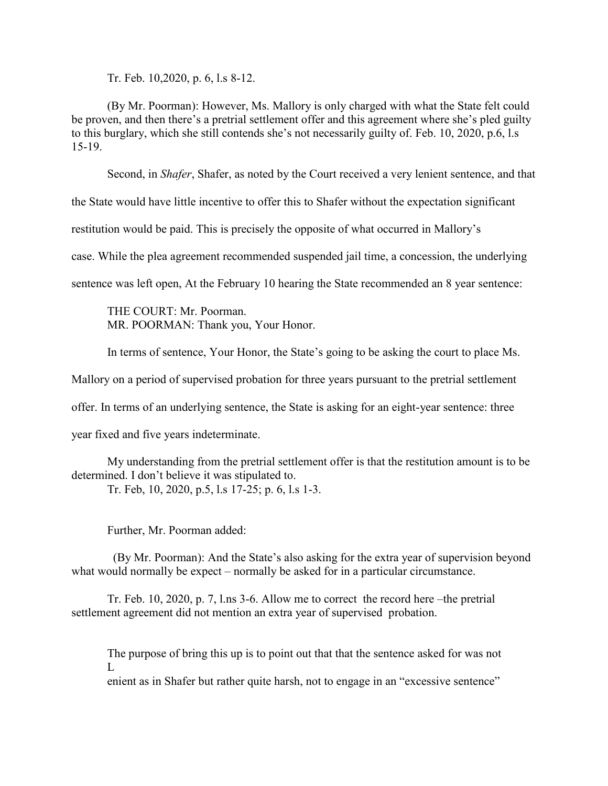Tr. Feb. 10,2020, p. 6, l.s 8-12.

(By Mr. Poorman): However, Ms. Mallory is only charged with what the State felt could be proven, and then there's a pretrial settlement offer and this agreement where she's pled guilty to this burglary, which she still contends she's not necessarily guilty of. Feb. 10, 2020, p.6, l.s 15-19.

Second, in *Shafer*, Shafer, as noted by the Court received a very lenient sentence, and that

the State would have little incentive to offer this to Shafer without the expectation significant

restitution would be paid. This is precisely the opposite of what occurred in Mallory's

case. While the plea agreement recommended suspended jail time, a concession, the underlying

sentence was left open, At the February 10 hearing the State recommended an 8 year sentence:

THE COURT: Mr. Poorman. MR. POORMAN: Thank you, Your Honor.

In terms of sentence, Your Honor, the State's going to be asking the court to place Ms.

Mallory on a period of supervised probation for three years pursuant to the pretrial settlement

offer. In terms of an underlying sentence, the State is asking for an eight-year sentence: three

year fixed and five years indeterminate.

My understanding from the pretrial settlement offer is that the restitution amount is to be determined. I don't believe it was stipulated to.

Tr. Feb, 10, 2020, p.5, l.s 17-25; p. 6, l.s 1-3.

Further, Mr. Poorman added:

(By Mr. Poorman): And the State's also asking for the extra year of supervision beyond what would normally be expect – normally be asked for in a particular circumstance.

Tr. Feb. 10, 2020, p. 7, l.ns 3-6. Allow me to correct the record here –the pretrial settlement agreement did not mention an extra year of supervised probation.

The purpose of bring this up is to point out that that the sentence asked for was not L

enient as in Shafer but rather quite harsh, not to engage in an "excessive sentence"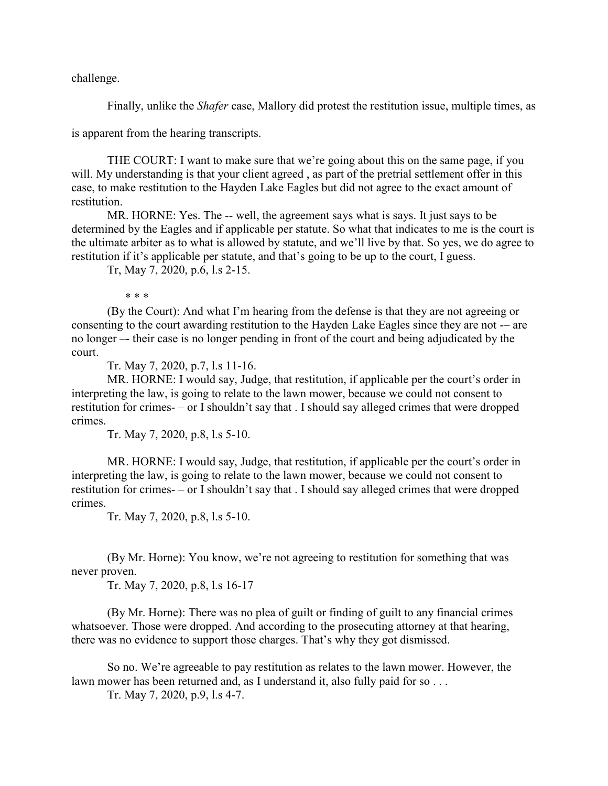challenge.

Finally, unlike the *Shafer* case, Mallory did protest the restitution issue, multiple times, as

is apparent from the hearing transcripts.

THE COURT: I want to make sure that we're going about this on the same page, if you will. My understanding is that your client agreed, as part of the pretrial settlement offer in this case, to make restitution to the Hayden Lake Eagles but did not agree to the exact amount of restitution.

MR. HORNE: Yes. The -- well, the agreement says what is says. It just says to be determined by the Eagles and if applicable per statute. So what that indicates to me is the court is the ultimate arbiter as to what is allowed by statute, and we'll live by that. So yes, we do agree to restitution if it's applicable per statute, and that's going to be up to the court, I guess.

Tr, May 7, 2020, p.6, l.s 2-15.

\* \* \*

(By the Court): And what I'm hearing from the defense is that they are not agreeing or consenting to the court awarding restitution to the Hayden Lake Eagles since they are not -– are no longer –- their case is no longer pending in front of the court and being adjudicated by the court.

Tr. May 7, 2020, p.7, l.s 11-16.

MR. HORNE: I would say, Judge, that restitution, if applicable per the court's order in interpreting the law, is going to relate to the lawn mower, because we could not consent to restitution for crimes- – or I shouldn't say that . I should say alleged crimes that were dropped crimes.

Tr. May 7, 2020, p.8, l.s 5-10.

MR. HORNE: I would say, Judge, that restitution, if applicable per the court's order in interpreting the law, is going to relate to the lawn mower, because we could not consent to restitution for crimes- – or I shouldn't say that . I should say alleged crimes that were dropped crimes.

Tr. May 7, 2020, p.8, l.s 5-10.

(By Mr. Horne): You know, we're not agreeing to restitution for something that was never proven.

Tr. May 7, 2020, p.8, l.s 16-17

(By Mr. Horne): There was no plea of guilt or finding of guilt to any financial crimes whatsoever. Those were dropped. And according to the prosecuting attorney at that hearing, there was no evidence to support those charges. That's why they got dismissed.

So no. We're agreeable to pay restitution as relates to the lawn mower. However, the lawn mower has been returned and, as I understand it, also fully paid for so . . .

Tr. May 7, 2020, p.9, l.s 4-7.